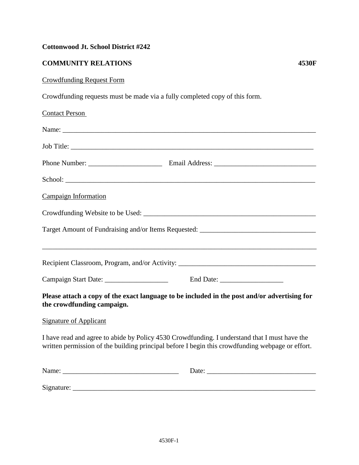## **Cottonwood Jt. School District #242**

## **COMMUNITY RELATIONS 4530F**

## Crowdfunding Request Form

Crowdfunding requests must be made via a fully completed copy of this form.

| <b>Contact Person</b>                                                                                                      |                                                                                                                                                                                                   |
|----------------------------------------------------------------------------------------------------------------------------|---------------------------------------------------------------------------------------------------------------------------------------------------------------------------------------------------|
|                                                                                                                            |                                                                                                                                                                                                   |
|                                                                                                                            |                                                                                                                                                                                                   |
|                                                                                                                            |                                                                                                                                                                                                   |
|                                                                                                                            |                                                                                                                                                                                                   |
| Campaign Information                                                                                                       |                                                                                                                                                                                                   |
|                                                                                                                            |                                                                                                                                                                                                   |
|                                                                                                                            |                                                                                                                                                                                                   |
|                                                                                                                            | ,我们也不会有什么。""我们的人,我们也不会有什么?""我们的人,我们也不会有什么?""我们的人,我们也不会有什么?""我们的人,我们也不会有什么?""我们的人                                                                                                                  |
| Please attach a copy of the exact language to be included in the post and/or advertising for<br>the crowdfunding campaign. |                                                                                                                                                                                                   |
| <b>Signature of Applicant</b>                                                                                              |                                                                                                                                                                                                   |
|                                                                                                                            | I have read and agree to abide by Policy 4530 Crowdfunding. I understand that I must have the<br>written permission of the building principal before I begin this crowdfunding webpage or effort. |
|                                                                                                                            |                                                                                                                                                                                                   |
|                                                                                                                            |                                                                                                                                                                                                   |